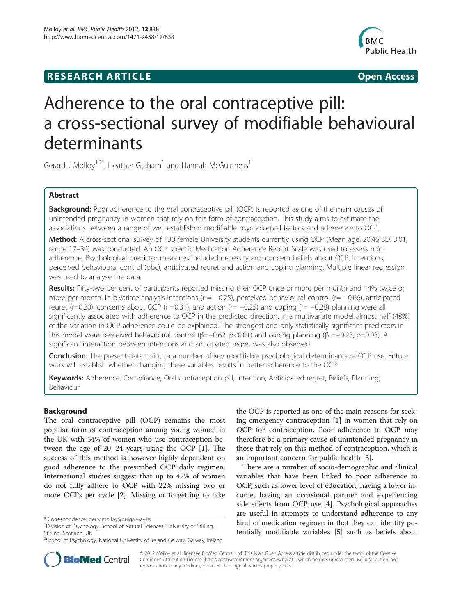# **RESEARCH ARTICLE Example 2014 12:30 The SEAR CH ACCESS**



# Adherence to the oral contraceptive pill: a cross-sectional survey of modifiable behavioural determinants

Gerard J Molloy<sup>1,2\*</sup>, Heather Graham<sup>1</sup> and Hannah McGuinness<sup>1</sup>

# Abstract

Background: Poor adherence to the oral contraceptive pill (OCP) is reported as one of the main causes of unintended pregnancy in women that rely on this form of contraception. This study aims to estimate the associations between a range of well-established modifiable psychological factors and adherence to OCP.

Method: A cross-sectional survey of 130 female University students currently using OCP (Mean age: 20.46 SD: 3.01, range 17–36) was conducted. An OCP specific Medication Adherence Report Scale was used to assess nonadherence. Psychological predictor measures included necessity and concern beliefs about OCP, intentions, perceived behavioural control (pbc), anticipated regret and action and coping planning. Multiple linear regression was used to analyse the data.

Results: Fifty-two per cent of participants reported missing their OCP once or more per month and 14% twice or more per month. In bivariate analysis intentions (r = −0.25), perceived behavioural control (r= −0.66), anticipated regret (r=0.20), concerns about OCP (r =0.31), and action (r= −0.25) and coping (r= −0.28) planning were all significantly associated with adherence to OCP in the predicted direction. In a multivariate model almost half (48%) of the variation in OCP adherence could be explained. The strongest and only statistically significant predictors in this model were perceived behavioural control (β=−0.62, p<0.01) and coping planning (β =−0.23, p=0.03). A significant interaction between intentions and anticipated regret was also observed.

Conclusion: The present data point to a number of key modifiable psychological determinants of OCP use. Future work will establish whether changing these variables results in better adherence to the OCP.

Keywords: Adherence, Compliance, Oral contraception pill, Intention, Anticipated regret, Beliefs, Planning, Behaviour

# Background

The oral contraceptive pill (OCP) remains the most popular form of contraception among young women in the UK with 54% of women who use contraception between the age of 20–24 years using the OCP [[1\]](#page-6-0). The success of this method is however highly dependent on good adherence to the prescribed OCP daily regimen. International studies suggest that up to 47% of women do not fully adhere to OCP with 22% missing two or more OCPs per cycle [\[2](#page-6-0)]. Missing or forgetting to take

the OCP is reported as one of the main reasons for seeking emergency contraception [\[1](#page-6-0)] in women that rely on OCP for contraception. Poor adherence to OCP may therefore be a primary cause of unintended pregnancy in those that rely on this method of contraception, which is an important concern for public health [\[3\]](#page-6-0).

There are a number of socio-demographic and clinical variables that have been linked to poor adherence to OCP, such as lower level of education, having a lower income, having an occasional partner and experiencing side effects from OCP use [[4\]](#page-6-0). Psychological approaches are useful in attempts to understand adherence to any kind of medication regimen in that they can identify potentially modifiable variables [\[5](#page-6-0)] such as beliefs about



© 2012 Molloy et al.; licensee BioMed Central Ltd. This is an Open Access article distributed under the terms of the Creative Commons Attribution License [\(http://creativecommons.org/licenses/by/2.0\)](http://creativecommons.org/licenses/by/2.0), which permits unrestricted use, distribution, and reproduction in any medium, provided the original work is properly cited.

<sup>\*</sup> Correspondence: [gerry.molloy@nuigalway.ie](mailto:gerry.molloy@nuigalway.ie) <sup>1</sup>

<sup>&</sup>lt;sup>1</sup> Division of Psychology, School of Natural Sciences, University of Stirling, Stirling, Scotland, UK

<sup>&</sup>lt;sup>2</sup>School of Psychology, National University of Ireland Galway, Galway, Ireland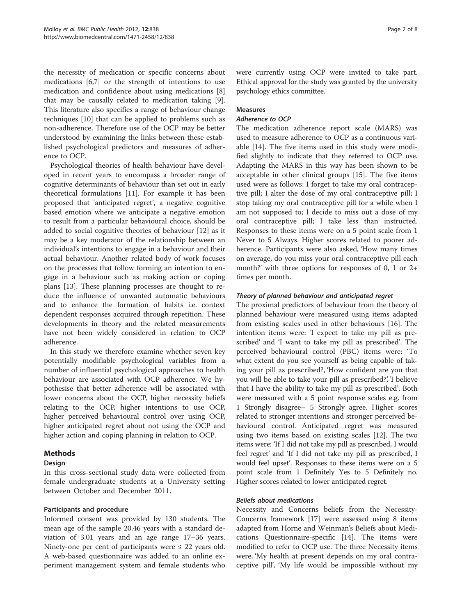the necessity of medication or specific concerns about medications [\[6,7](#page-6-0)] or the strength of intentions to use medication and confidence about using medications [[8](#page-6-0)] that may be causally related to medication taking [\[9](#page-6-0)]. This literature also specifies a range of behaviour change techniques [\[10](#page-6-0)] that can be applied to problems such as non-adherence. Therefore use of the OCP may be better understood by examining the links between these established psychological predictors and measures of adherence to OCP.

Psychological theories of health behaviour have developed in recent years to encompass a broader range of cognitive determinants of behaviour than set out in early theoretical formulations [[11\]](#page-6-0). For example it has been proposed that 'anticipated regret', a negative cognitive based emotion where we anticipate a negative emotion to result from a particular behavioural choice, should be added to social cognitive theories of behaviour [[12\]](#page-6-0) as it may be a key moderator of the relationship between an individual's intentions to engage in a behaviour and their actual behaviour. Another related body of work focuses on the processes that follow forming an intention to engage in a behaviour such as making action or coping plans [\[13\]](#page-6-0). These planning processes are thought to reduce the influence of unwanted automatic behaviours and to enhance the formation of habits i.e. context dependent responses acquired through repetition. These developments in theory and the related measurements have not been widely considered in relation to OCP adherence.

In this study we therefore examine whether seven key potentially modifiable psychological variables from a number of influential psychological approaches to health behaviour are associated with OCP adherence. We hypothesise that better adherence will be associated with lower concerns about the OCP, higher necessity beliefs relating to the OCP, higher intentions to use OCP, higher perceived behavioural control over using OCP, higher anticipated regret about not using the OCP and higher action and coping planning in relation to OCP.

# Methods

## Design

In this cross-sectional study data were collected from female undergraduate students at a University setting between October and December 2011.

## Participants and procedure

Informed consent was provided by 130 students. The mean age of the sample 20.46 years with a standard deviation of 3.01 years and an age range 17–36 years. Ninety-one per cent of participants were  $\leq 22$  years old. A web-based questionnaire was added to an online experiment management system and female students who were currently using OCP were invited to take part. Ethical approval for the study was granted by the university psychology ethics committee.

#### Measures

#### Adherence to OCP

The medication adherence report scale (MARS) was used to measure adherence to OCP as a continuous variable [\[14](#page-6-0)]. The five items used in this study were modified slightly to indicate that they referred to OCP use. Adapting the MARS in this way has been shown to be acceptable in other clinical groups [\[15\]](#page-7-0). The five items used were as follows: I forget to take my oral contraceptive pill; I alter the dose of my oral contraceptive pill; I stop taking my oral contraceptive pill for a while when I am not supposed to; I decide to miss out a dose of my oral contraceptive pill; I take less than instructed. Responses to these items were on a 5 point scale from 1 Never to 5 Always. Higher scores related to poorer adherence. Participants were also asked, 'How many times on average, do you miss your oral contraceptive pill each month?' with three options for responses of 0, 1 or 2+ times per month.

## Theory of planned behaviour and anticipated regret

The proximal predictors of behaviour from the theory of planned behaviour were measured using items adapted from existing scales used in other behaviours [\[16](#page-7-0)]. The intention items were: 'I expect to take my pill as prescribed' and 'I want to take my pill as prescribed'. The perceived behavioural control (PBC) items were: 'To what extent do you see yourself as being capable of taking your pill as prescribed?, 'How confident are you that you will be able to take your pill as prescribed?', 'I believe that I have the ability to take my pill as prescribed'. Both were measured with a 5 point response scales e.g. from 1 Strongly disagree– 5 Strongly agree. Higher scores related to stronger intentions and stronger perceived behavioural control. Anticipated regret was measured using two items based on existing scales [\[12](#page-6-0)]. The two items were: 'If I did not take my pill as prescribed, I would feel regret' and 'If I did not take my pill as prescribed, I would feel upset'. Responses to these items were on a 5 point scale from 1 Definitely Yes to 5 Definitely no. Higher scores related to lower anticipated regret.

#### Beliefs about medications

Necessity and Concerns beliefs from the Necessity-Concerns framework [\[17](#page-7-0)] were assessed using 8 items adapted from Horne and Weinman's Beliefs about Medications Questionnaire-specific [\[14](#page-6-0)]. The items were modified to refer to OCP use. The three Necessity items were, 'My health at present depends on my oral contraceptive pill', 'My life would be impossible without my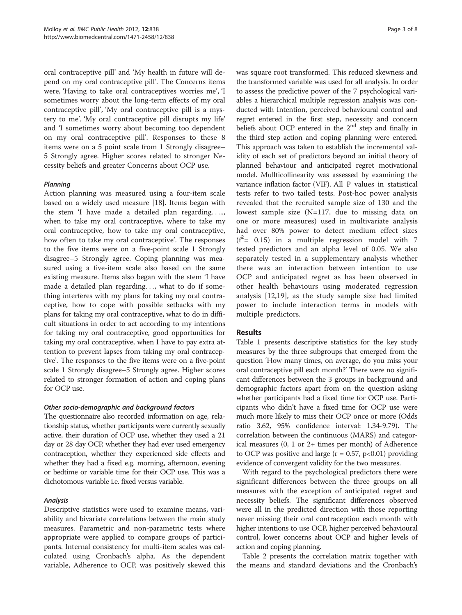oral contraceptive pill' and 'My health in future will depend on my oral contraceptive pill'. The Concerns items were, 'Having to take oral contraceptives worries me', 'I sometimes worry about the long-term effects of my oral contraceptive pill', 'My oral contraceptive pill is a mystery to me', 'My oral contraceptive pill disrupts my life' and 'I sometimes worry about becoming too dependent on my oral contraceptive pill'. Responses to these 8 items were on a 5 point scale from 1 Strongly disagree– 5 Strongly agree. Higher scores related to stronger Necessity beliefs and greater Concerns about OCP use.

#### Planning

Action planning was measured using a four-item scale based on a widely used measure [\[18](#page-7-0)]. Items began with the stem 'I have made a detailed plan regarding....., when to take my oral contraceptive, where to take my oral contraceptive, how to take my oral contraceptive, how often to take my oral contraceptive'. The responses to the five items were on a five-point scale 1 Strongly disagree–5 Strongly agree. Coping planning was measured using a five-item scale also based on the same existing measure. Items also began with the stem 'I have made a detailed plan regarding..., what to do if something interferes with my plans for taking my oral contraceptive, how to cope with possible setbacks with my plans for taking my oral contraceptive, what to do in difficult situations in order to act according to my intentions for taking my oral contraceptive, good opportunities for taking my oral contraceptive, when I have to pay extra attention to prevent lapses from taking my oral contraceptive'. The responses to the five items were on a five-point scale 1 Strongly disagree–5 Strongly agree. Higher scores related to stronger formation of action and coping plans for OCP use.

#### Other socio-demographic and background factors

The questionnaire also recorded information on age, relationship status, whether participants were currently sexually active, their duration of OCP use, whether they used a 21 day or 28 day OCP, whether they had ever used emergency contraception, whether they experienced side effects and whether they had a fixed e.g. morning, afternoon, evening or bedtime or variable time for their OCP use. This was a dichotomous variable i.e. fixed versus variable.

## Analysis

Descriptive statistics were used to examine means, variability and bivariate correlations between the main study measures. Parametric and non-parametric tests where appropriate were applied to compare groups of participants. Internal consistency for multi-item scales was calculated using Cronbach's alpha. As the dependent variable, Adherence to OCP, was positively skewed this

was square root transformed. This reduced skewness and the transformed variable was used for all analysis. In order to assess the predictive power of the 7 psychological variables a hierarchical multiple regression analysis was conducted with Intention, perceived behavioural control and regret entered in the first step, necessity and concern beliefs about OCP entered in the 2<sup>nd</sup> step and finally in the third step action and coping planning were entered. This approach was taken to establish the incremental validity of each set of predictors beyond an initial theory of planned behaviour and anticipated regret motivational model. Mullticollinearity was assessed by examining the variance inflation factor (VIF). All P values in statistical tests refer to two tailed tests. Post-hoc power analysis revealed that the recruited sample size of 130 and the lowest sample size (N=117, due to missing data on one or more measures) used in multivariate analysis had over 80% power to detect medium effect sizes  $(f<sup>2</sup>= 0.15)$  in a multiple regression model with 7 tested predictors and an alpha level of 0.05. We also separately tested in a supplementary analysis whether there was an interaction between intention to use OCP and anticipated regret as has been observed in other health behaviours using moderated regression analysis [[12,](#page-6-0)[19\]](#page-7-0), as the study sample size had limited power to include interaction terms in models with multiple predictors.

## Results

Table [1](#page-3-0) presents descriptive statistics for the key study measures by the three subgroups that emerged from the question 'How many times, on average, do you miss your oral contraceptive pill each month?' There were no significant differences between the 3 groups in background and demographic factors apart from on the question asking whether participants had a fixed time for OCP use. Participants who didn't have a fixed time for OCP use were much more likely to miss their OCP once or more (Odds ratio 3.62, 95% confidence interval: 1.34-9.79). The correlation between the continuous (MARS) and categorical measures (0, 1 or 2+ times per month) of Adherence to OCP was positive and large ( $r = 0.57$ ,  $p < 0.01$ ) providing evidence of convergent validity for the two measures.

With regard to the psychological predictors there were significant differences between the three groups on all measures with the exception of anticipated regret and necessity beliefs. The significant differences observed were all in the predicted direction with those reporting never missing their oral contraception each month with higher intentions to use OCP, higher perceived behavioural control, lower concerns about OCP and higher levels of action and coping planning.

Table [2](#page-3-0) presents the correlation matrix together with the means and standard deviations and the Cronbach's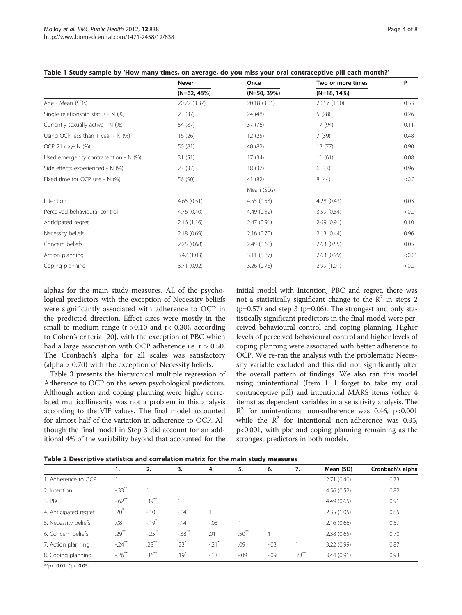|                                      | Never         | Once          | Two or more times | P      |
|--------------------------------------|---------------|---------------|-------------------|--------|
|                                      | $(N=62, 48%)$ | $(N=50, 39%)$ | $(N=18, 14%)$     |        |
| Age - Mean (SDs)                     | 20.77 (3.37)  | 20.18 (3.01)  | 20.17 (1.10)      | 0.53   |
| Single relationship status - N (%)   | 23(37)        | 24 (48)       | 5(28)             | 0.26   |
| Currently sexually active - N (%)    | 54 (87)       | 37(76)        | 17 (94)           | 0.11   |
| Using OCP less than 1 year - $N$ (%) | 16(26)        | 12(25)        | 7(39)             | 0.48   |
| OCP 21 day- N (%)                    | 50 (81)       | 40 (82)       | 13(77)            | 0.90   |
| Used emergency contraception - N (%) | 31(51)        | 17(34)        | 11(61)            | 0.08   |
| Side effects experienced - N (%)     | 23(37)        | 18(37)        | 6(33)             | 0.96   |
| Fixed time for OCP use - N (%)       | 56 (90)       | 41 (82)       | 8(44)             | < 0.01 |
|                                      |               | Mean (SDs)    |                   |        |
| Intention                            | 4.65(0.51)    | 4.55(0.53)    | 4.28(0.43)        | 0.03   |
| Perceived behavioural control        | 4.76 (0.40)   | 4.49(0.52)    | 3.59 (0.84)       | < 0.01 |
| Anticipated regret                   | 2.16(1.16)    | 2.47(0.91)    | 2.69(0.91)        | 0.10   |
| Necessity beliefs                    | 2.18(0.69)    | 2.16(0.70)    | 2.13(0.44)        | 0.96   |
| Concern beliefs                      | 2.25(0.68)    | 2.45(0.60)    | 2.63(0.55)        | 0.05   |
| Action planning                      | 3.47(1.03)    | 3.11(0.87)    | 2.63(0.99)        | < 0.01 |
| Coping planning                      | 3.71 (0.92)   | 3.26(0.76)    | 2.99(1.01)        | < 0.01 |

<span id="page-3-0"></span>Table 1 Study sample by 'How many times, on average, do you miss your oral contraceptive pill each month?'

alphas for the main study measures. All of the psychological predictors with the exception of Necessity beliefs were significantly associated with adherence to OCP in the predicted direction. Effect sizes were mostly in the small to medium range ( $r > 0.10$  and  $r < 0.30$ ), according to Cohen's criteria [[20](#page-7-0)], with the exception of PBC which had a large association with OCP adherence i.e.  $r > 0.50$ . The Cronbach's alpha for all scales was satisfactory (alpha > 0.70) with the exception of Necessity beliefs.

Table [3](#page-4-0) presents the hierarchical multiple regression of Adherence to OCP on the seven psychological predictors. Although action and coping planning were highly correlated multicollinearity was not a problem in this analysis according to the VIF values. The final model accounted for almost half of the variation in adherence to OCP. Although the final model in Step 3 did account for an additional 4% of the variability beyond that accounted for the

initial model with Intention, PBC and regret, there was not a statistically significant change to the  $\mathbb{R}^2$  in steps 2  $(p=0.57)$  and step 3 (p=0.06). The strongest and only statistically significant predictors in the final model were perceived behavioural control and coping planning. Higher levels of perceived behavioural control and higher levels of coping planning were associated with better adherence to OCP. We re-ran the analysis with the problematic Necessity variable excluded and this did not significantly alter the overall pattern of findings. We also ran this model using unintentional (Item 1: I forget to take my oral contraceptive pill) and intentional MARS items (other 4 items) as dependent variables in a sensitivity analysis. The  $R^2$  for unintentional non-adherence was 0.46, p<0.001 while the  $\mathbb{R}^2$  for intentional non-adherence was 0.35, p<0.001, with pbc and coping planning remaining as the strongest predictors in both models.

Table 2 Descriptive statistics and correlation matrix for the main study measures

|                       | 1.                  | 2.                 | 3.         | 4.                  | 5.       | 6.      | 7.       | Mean (SD)  | Cronbach's alpha |
|-----------------------|---------------------|--------------------|------------|---------------------|----------|---------|----------|------------|------------------|
| 1. Adherence to OCP   |                     |                    |            |                     |          |         |          | 2.71(0.40) | 0.73             |
| 2. Intention          | $-33^{**}$          |                    |            |                     |          |         |          | 4.56(0.52) | 0.82             |
| 3. PBC                | $-62^{**}$          | $.39***$           |            |                     |          |         |          | 4.49(0.65) | 0.91             |
| 4. Anticipated regret | $.20*$              | $-10$              | $-0.04$    |                     |          |         |          | 2.35(1.05) | 0.85             |
| 5. Necessity beliefs  | .08                 | $-19$ <sup>*</sup> | $-14$      | $-0.03$             |          |         |          | 2.16(0.66) | 0.57             |
| 6. Concern beliefs    | $.29***$            | $-.25***$          | $-38^{**}$ | .01                 | $.50***$ |         |          | 2.38(0.65) | 0.70             |
| 7. Action planning    | $-24$ <sup>**</sup> | $.28***$           | $.23*$     | $-.21$ <sup>*</sup> | .09      | $-0.03$ |          | 3.22(0.99) | 0.87             |
| 8. Coping planning    | $-26$ <sup>**</sup> | $.36***$           | $.19*$     | $-13$               | $-0.09$  | $-0.09$ | $.73***$ | 3.44(0.91) | 0.93             |

\*\*p< 0.01; \*p< 0.05.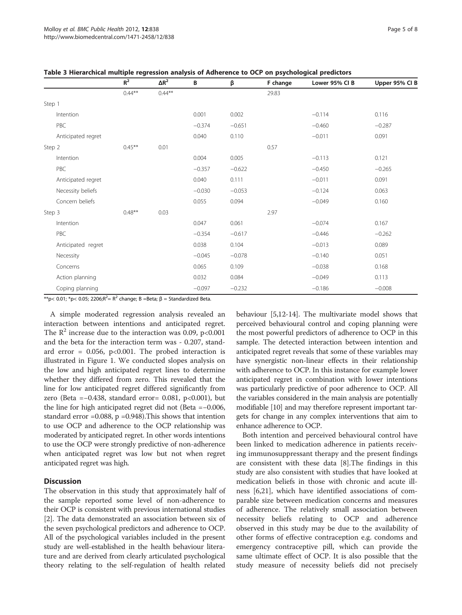|                    | $R^2$     | $\Delta R^2$ | B        | β        | F change | Lower 95% CI B | Upper 95% CI B |
|--------------------|-----------|--------------|----------|----------|----------|----------------|----------------|
|                    | $0.44***$ | $0.44***$    |          |          | 29.83    |                |                |
| Step 1             |           |              |          |          |          |                |                |
| Intention          |           |              | 0.001    | 0.002    |          | $-0.114$       | 0.116          |
| PBC                |           |              | $-0.374$ | $-0.651$ |          | $-0.460$       | $-0.287$       |
| Anticipated regret |           |              | 0.040    | 0.110    |          | $-0.011$       | 0.091          |
| Step 2             | $0.45***$ | 0.01         |          |          | 0.57     |                |                |
| Intention          |           |              | 0.004    | 0.005    |          | $-0.113$       | 0.121          |
| PBC                |           |              | $-0.357$ | $-0.622$ |          | $-0.450$       | $-0.265$       |
| Anticipated regret |           |              | 0.040    | 0.111    |          | $-0.011$       | 0.091          |
| Necessity beliefs  |           |              | $-0.030$ | $-0.053$ |          | $-0.124$       | 0.063          |
| Concern beliefs    |           |              | 0.055    | 0.094    |          | $-0.049$       | 0.160          |
| Step 3             | $0.48***$ | 0.03         |          |          | 2.97     |                |                |
| Intention          |           |              | 0.047    | 0.061    |          | $-0.074$       | 0.167          |
| PBC                |           |              | $-0.354$ | $-0.617$ |          | $-0.446$       | $-0.262$       |
| Anticipated regret |           |              | 0.038    | 0.104    |          | $-0.013$       | 0.089          |
| Necessity          |           |              | $-0.045$ | $-0.078$ |          | $-0.140$       | 0.051          |
| Concerns           |           |              | 0.065    | 0.109    |          | $-0.038$       | 0.168          |
| Action planning    |           |              | 0.032    | 0.084    |          | $-0.049$       | 0.113          |
| Coping planning    |           |              | $-0.097$ | $-0.232$ |          | $-0.186$       | $-0.008$       |

<span id="page-4-0"></span>Table 3 Hierarchical multiple regression analysis of Adherence to OCP on psychological predictors

\*\*p< 0.01; \*p< 0.05; 2206; $R^2$ =  $R^2$  change; B =Beta; β = Standardized Beta.

A simple moderated regression analysis revealed an interaction between intentions and anticipated regret. The  $\mathbb{R}^2$  increase due to the interaction was 0.09, p<0.001 and the beta for the interaction term was - 0.207, standard error =  $0.056$ , p<0.001. The probed interaction is illustrated in Figure [1.](#page-5-0) We conducted slopes analysis on the low and high anticipated regret lines to determine whether they differed from zero. This revealed that the line for low anticipated regret differed significantly from zero (Beta =−0.438, standard error= 0.081, p<0.001), but the line for high anticipated regret did not (Beta =−0.006, standard error =  $0.088$ , p =  $0.948$ ). This shows that intention to use OCP and adherence to the OCP relationship was moderated by anticipated regret. In other words intentions to use the OCP were strongly predictive of non-adherence when anticipated regret was low but not when regret anticipated regret was high.

# **Discussion**

The observation in this study that approximately half of the sample reported some level of non-adherence to their OCP is consistent with previous international studies [[2\]](#page-6-0). The data demonstrated an association between six of the seven psychological predictors and adherence to OCP. All of the psychological variables included in the present study are well-established in the health behaviour literature and are derived from clearly articulated psychological theory relating to the self-regulation of health related

behaviour [[5,12](#page-6-0)-[14\]](#page-6-0). The multivariate model shows that perceived behavioural control and coping planning were the most powerful predictors of adherence to OCP in this sample. The detected interaction between intention and anticipated regret reveals that some of these variables may have synergistic non-linear effects in their relationship with adherence to OCP. In this instance for example lower anticipated regret in combination with lower intentions was particularly predictive of poor adherence to OCP. All the variables considered in the main analysis are potentially modifiable [\[10\]](#page-6-0) and may therefore represent important targets for change in any complex interventions that aim to enhance adherence to OCP.

Both intention and perceived behavioural control have been linked to medication adherence in patients receiving immunosuppressant therapy and the present findings are consistent with these data [\[8](#page-6-0)].The findings in this study are also consistent with studies that have looked at medication beliefs in those with chronic and acute illness [[6,](#page-6-0)[21\]](#page-7-0), which have identified associations of comparable size between medication concerns and measures of adherence. The relatively small association between necessity beliefs relating to OCP and adherence observed in this study may be due to the availability of other forms of effective contraception e.g. condoms and emergency contraceptive pill, which can provide the same ultimate effect of OCP. It is also possible that the study measure of necessity beliefs did not precisely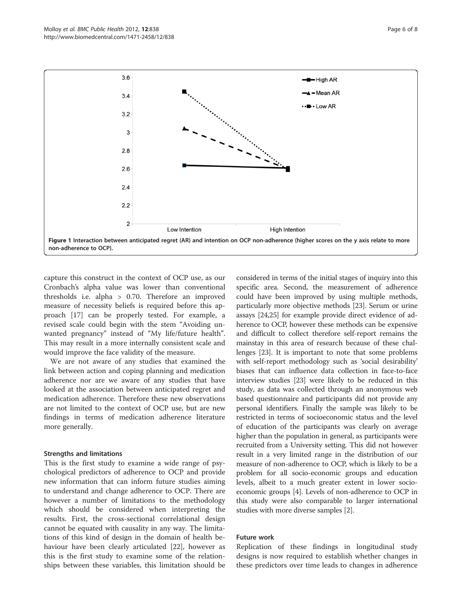<span id="page-5-0"></span>

capture this construct in the context of OCP use, as our Cronbach's alpha value was lower than conventional thresholds i.e. alpha > 0.70. Therefore an improved measure of necessity beliefs is required before this approach [\[17](#page-7-0)] can be properly tested. For example, a revised scale could begin with the stem "Avoiding unwanted pregnancy" instead of "My life/future health". This may result in a more internally consistent scale and would improve the face validity of the measure.

We are not aware of any studies that examined the link between action and coping planning and medication adherence nor are we aware of any studies that have looked at the association between anticipated regret and medication adherence. Therefore these new observations are not limited to the context of OCP use, but are new findings in terms of medication adherence literature more generally.

#### Strengths and limitations

This is the first study to examine a wide range of psychological predictors of adherence to OCP and provide new information that can inform future studies aiming to understand and change adherence to OCP. There are however a number of limitations to the methodology which should be considered when interpreting the results. First, the cross-sectional correlational design cannot be equated with causality in any way. The limitations of this kind of design in the domain of health behaviour have been clearly articulated [[22\]](#page-7-0), however as this is the first study to examine some of the relationships between these variables, this limitation should be

considered in terms of the initial stages of inquiry into this specific area. Second, the measurement of adherence could have been improved by using multiple methods, particularly more objective methods [[23](#page-7-0)]. Serum or urine assays [[24,25\]](#page-7-0) for example provide direct evidence of adherence to OCP, however these methods can be expensive and difficult to collect therefore self-report remains the mainstay in this area of research because of these challenges [[23](#page-7-0)]. It is important to note that some problems with self-report methodology such as 'social desirability' biases that can influence data collection in face-to-face interview studies [[23](#page-7-0)] were likely to be reduced in this study, as data was collected through an anonymous web based questionnaire and participants did not provide any personal identifiers. Finally the sample was likely to be restricted in terms of socioeconomic status and the level of education of the participants was clearly on average higher than the population in general, as participants were recruited from a University setting. This did not however result in a very limited range in the distribution of our measure of non-adherence to OCP, which is likely to be a problem for all socio-economic groups and education levels, albeit to a much greater extent in lower socioeconomic groups [[4\]](#page-6-0). Levels of non-adherence to OCP in this study were also comparable to larger international studies with more diverse samples [[2\]](#page-6-0).

#### Future work

Replication of these findings in longitudinal study designs is now required to establish whether changes in these predictors over time leads to changes in adherence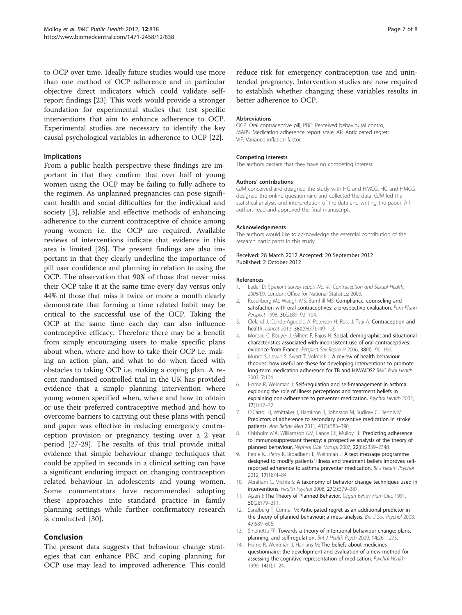<span id="page-6-0"></span>to OCP over time. Ideally future studies would use more than one method of OCP adherence and in particular objective direct indicators which could validate selfreport findings [[23\]](#page-7-0). This work would provide a stronger foundation for experimental studies that test specific interventions that aim to enhance adherence to OCP. Experimental studies are necessary to identify the key causal psychological variables in adherence to OCP [[22\]](#page-7-0).

#### Implications

From a public health perspective these findings are important in that they confirm that over half of young women using the OCP may be failing to fully adhere to the regimen. As unplanned pregnancies can pose significant health and social difficulties for the individual and society [3], reliable and effective methods of enhancing adherence to the current contraceptive of choice among young women i.e. the OCP are required. Available reviews of interventions indicate that evidence in this area is limited [[26\]](#page-7-0). The present findings are also important in that they clearly underline the importance of pill user confidence and planning in relation to using the OCP. The observation that 90% of those that never miss their OCP take it at the same time every day versus only 44% of those that miss it twice or more a month clearly demonstrate that forming a time related habit may be critical to the successful use of the OCP. Taking the OCP at the same time each day can also influence contraceptive efficacy. Therefore there may be a benefit from simply encouraging users to make specific plans about when, where and how to take their OCP i.e. making an action plan, and what to do when faced with obstacles to taking OCP i.e. making a coping plan. A recent randomised controlled trial in the UK has provided evidence that a simple planning intervention where young women specified when, where and how to obtain or use their preferred contraceptive method and how to overcome barriers to carrying out these plans with pencil and paper was effective in reducing emergency contraception provision or pregnancy testing over a 2 year period [\[27-29](#page-7-0)]. The results of this trial provide initial evidence that simple behaviour change techniques that could be applied in seconds in a clinical setting can have a significant enduring impact on changing contraception related behaviour in adolescents and young women. Some commentators have recommended adopting these approaches into standard practice in family planning settings while further confirmatory research is conducted [[30\]](#page-7-0).

#### Conclusion

The present data suggests that behaviour change strategies that can enhance PBC and coping planning for OCP use may lead to improved adherence. This could reduce risk for emergency contraception use and unintended pregnancy. Intervention studies are now required to establish whether changing these variables results in better adherence to OCP.

#### Abbreviations

OCP: Oral contraceptive pill; PBC: Perceived behavioural contro; MARS: Medication adherence report scale; AR: Anticipated regret; VIF: Variance inflation factor.

#### Competing interests

The authors declare that they have no competing interest.

#### Authors' contributions

GJM conceived and designed the study with HG and HMCG. HG and HMCG designed the online questionnaire and collected the data. GJM led the statistical analysis and interpretation of the data and writing the paper. All authors read and approved the final manuscript.

#### Acknowledgements

The authors would like to acknowledge the essential contribution of the research participants in this study.

Received: 28 March 2012 Accepted: 20 September 2012 Published: 2 October 2012

#### References

- Lader D: Opinions survey report No. 41 Contraception and Sexual Health, 2008/09. London: Office for National Statistics; 2009.
- 2. Rosenberg MJ, Waugh MS, Burnhill MS: Compliance, counseling and satisfaction with oral contraceptives: a prospective evaluation. Fam Plann Perspect 1998, 30(2):89–92. 104.
- 3. Cleland J, Conde-Agudelo A, Peterson H, Ross J, Tsui A: Contraception and health. Lancet 2012, 380(9837):149–156.
- 4. Moreau C, Bouyer J, Gilbert F, Bajos N: Social, demographic and situational characteristics associated with inconsistent use of oral contraceptives: evidence from France. Perspect Sex Repro H 2006, 38(4):190–196.
- Munro S, Lewin S, Swart T, Volmink J: A review of health behaviour theories: how useful are these for developing interventions to promote long-term medication adherence for TB and HIV/AIDS? BMC Publ Health 2007, 7:104.
- 6. Horne R, Weinman J: Self-regulation and self-management in asthma: exploring the role of illness perceptions and treatment beliefs in explaining non-adherence to preventer medication. Psychol Health 2002, 17(1):17–32.
- 7. O'Carroll R, Whittaker J, Hamilton B, Johnston M, Sudlow C, Dennis M: Predictors of adherence to secondary preventive medication in stroke patients. Ann Behav Med 2011, 41(3):383–390.
- 8. Chisholm MA, Williamson GM, Lance CE, Mulloy LL: Predicting adherence to immunosuppressant therapy: a prospective analysis of the theory of planned behaviour. Nephrol Dial Transpl 2007, 22(8):2339–2348.
- 9. Petrie KJ, Perry K, Broadbent E, Weinman J: A text message programme designed to modify patients' illness and treatment beliefs improves selfreported adherence to asthma preventer medication. Br J Health Psychol 2012, 17(1):74–84.
- 10. Abraham C, Michie S: A taxonomy of behavior change techniques used in interventions. Health Psychol 2008, 27(3):379–387.
- 11. Ajzen I: The Theory of Planned Behavior. Organ Behav Hum Dec 1991, 50(2):179–211.
- 12. Sandberg T, Conner M: Anticipated regret as an additional predictor in the theory of planned behaviour: a meta-analysis. Brit J Soc Psychol 2008, 47:589–606.
- 13. Sniehotta FF: Towards a theory of intentional behaviour change: plans, planning, and self-regulation. Brit J Health Psych 2009, 14:261–273.
- 14. Horne R, Weinman J, Hankins M: The beliefs about medicines questionnaire: the development and evaluation of a new method for assessing the cognitive representation of medication. Psychol Health 1999, 14(1):1–24.